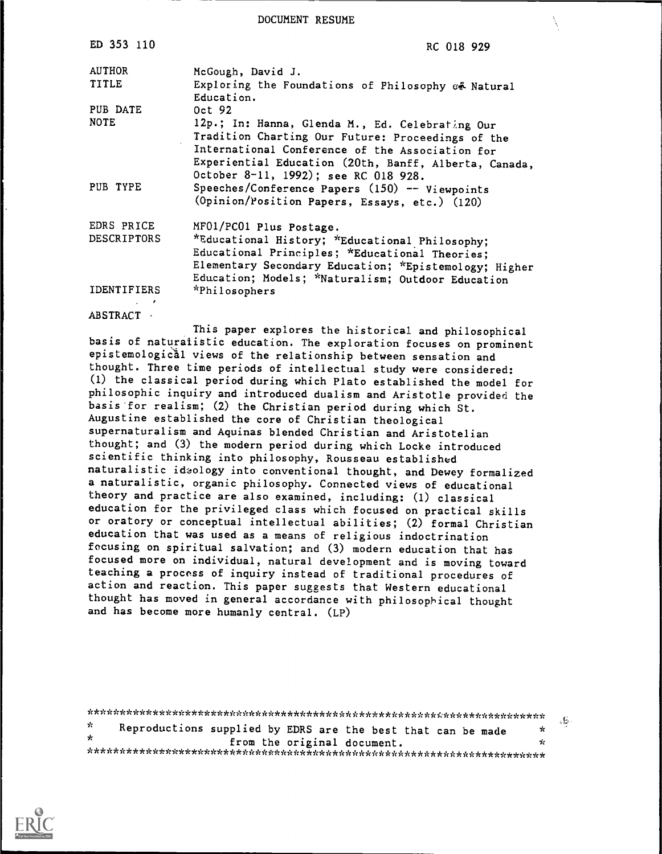DOCUMENT RESUME

| ED 353 110                | RC 018 929                                                                                                                                                                                                                                               |
|---------------------------|----------------------------------------------------------------------------------------------------------------------------------------------------------------------------------------------------------------------------------------------------------|
| <b>AUTHOR</b>             | McGough, David J.                                                                                                                                                                                                                                        |
| <b>TITLE</b>              | Exploring the Foundations of Philosophy & Natural<br>Education.                                                                                                                                                                                          |
| PUB DATE                  | Oct 92                                                                                                                                                                                                                                                   |
| <b>NOTE</b>               | 12p.; In: Hanna, Glenda M., Ed. Celebrating Our<br>Tradition Charting Our Future: Proceedings of the<br>International Conference of the Association for<br>Experiential Education (20th, Banff, Alberta, Canada,<br>October 8-11, 1992); see RC 018 928. |
| PUB TYPE                  | Speeches/Conference Papers (150) -- Viewpoints<br>(Opinion/Position Papers, Essays, etc.) (120)                                                                                                                                                          |
| EDRS PRICE<br>DESCRIPTORS | MF01/PC01 Plus Postage.<br>*Educational History; *Educational Philosophy;<br>Educational Principles; *Educational Theories;<br>Elementary Secondary Education; *Epistemology; Higher<br>Education; Models; *Naturalism; Outdoor Education                |
| IDENTIFIERS               | *Philosophers                                                                                                                                                                                                                                            |

ABSTRACT ·

This paper explores the historical and philosophical basis of naturalistic education. The exploration focuses on prominent epistemological views of the relationship between sensation and thought. Three time periods of intellectual study were considered: (1) the classical period during which Plato established the model for philosophic inquiry and introduced dualism and Aristotle provided the basis for realism; (2) the Christian period during which St. Augustine established the core of Christian theological supernaturalism and Aquinas blended Christian and Aristotelian thought; and (3) the modern period during which Locke introduced scientific thinking into philosophy, Rousseau established naturalistic ideology into conventional thought, and Dewey formalized a naturalistic, organic philosophy. Connected views of educational theory and practice are also examined, including: (1) classical education for the privileged class which focused on practical skills or oratory or conceptual intellectual abilities; (2) formal Christian education that was used as a means of religious indoctrination focusing on spiritual salvation; and (3) modern education that has focused more on individual, natural development and is moving toward teaching a process of inquiry instead of traditional procedures of action and reaction. This paper suggests that Western educational thought has moved in general accordance with philosophical thought and has become more humanly central. (LP)

\*\*\*\*\*\*\*\*\*\*\*\*\*\*\*\*\*\*\*\*\*\*\*\*\*\*\*\*\*\*\*\*\*\*\*\*\*\*\*\*\*\*\*\*\*\*\*\*\*\*\*\*\*\*\*\*\*\*\*\*\*\*\*\*\*\*\*\*\*\*\* ,3:) Reproductions supplied by EDRS are the best that can be made  $\star$ from the original document.  $\mathbf{r}$ \*\*\*\*\*\*\*\*\*\*\*\*\*\*\*\*\*\*\*\*\*\*\*\*\*\*\*\*\*\*\*\*\*\*\*\*\*\*\*\*\*\*\*\*\*\*\*\*\*\*\*\*\*\*\*\*\*\*\*\*\*\*\*\*\*\*\*\*\*\*\*

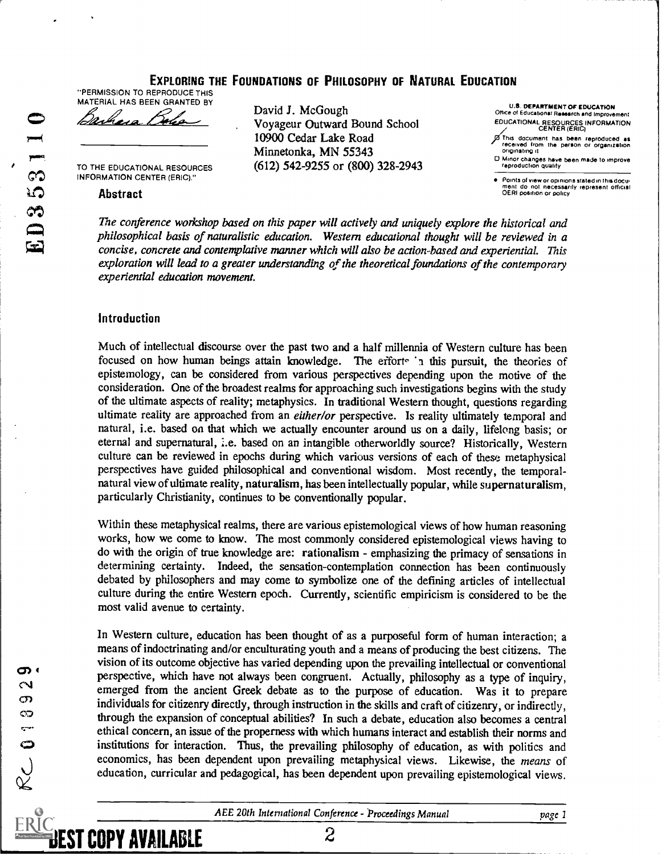EXPLORING THE FOUNDATIONS OF PHILOSOPHY OF NATURAL EDUCATION

"PERMISSION TO REPRODUCE THIS MATERIAL HAS BEEN GRANTED BY

Barbara Boles

TO THE EDUCATIONAL RESOURCES INFORMATION CENTER (ERIC)."

#### Abstract

David J. McGough Voyageur Outward Bound School 10900 Cedar Lake Road Minnetonka, MN 55343 (612) 542-9255 or (800) 328-2943

U.S. DEPARTMENT OF EDUCATION Office of Educational Research and Improven EDUCATIONAL RESOURCES INFORMATION

CENTER (ERIC)<br>
of this document has been reproduced as<br>
received from the person or organization<br>
originating it

O Minor changes have been made to improve reproduction Quality

Points of view or opinione staled in this docu ment do not necessarily represent official OERI position or policy

The conference workshop based on this paper will actively and uniquely explore the historical and philosophical basis of naturalistic education. Western educational thought will be reviewed in a concise, concrete and contemplative manner which will also be action-based and experiential. This exploration will lead to a greater understanding of the theoretical foundations of the contemporary experiential education movement.

#### Introduction

Much of intellectual discourse over the past two and a half millennia of Western culture has been focused on how human beings attain knowledge. The efforts in this pursuit, the theories of epistemology, can be considered from various perspectives depending upon the motive of the consideration. One of the broadest realms for approaching such investigations begins with the study of the ultimate aspects of reality; metaphysics. In traditional Western thought, questions regarding ultimate reality are approached from an either/or perspective. Is reality ultimately temporal and natural, i.e. based on that which we actually encounter around us on a daily, lifelong basis; or eternal and supernatural, i.e. based on an intangible otherworldly source? Historically, Western culture can be reviewed in epochs during which various versions of each of these metaphysical perspectives have guided philosophical and conventional wisdom. Most recently, the temporalnatural view of ultimate reality, naturalism, has been intellectually popular, while supernaturalism, particularly Christianity, continues to be conventionally popular.

Within these metaphysical realms, there are various epistemological views of how human reasoning works, how we come to know. The most commonly considered epistemological views having to do with the origin of true knowledge are: rationalism - emphasizing the primacy of sensations in determining certainty. Indeed, the sensation-contemplation connection has been continuously debated by philosophers and may come to symbolize one of the defining articles of intellectual culture during the entire Western epoch. Currently, scientific empiricism is considered to be the most valid avenue to certainty.

In Western culture, education has been thought of as a purposeful form of human interaction; a means of indoctrinating and/or enculturating youth and a means of producing the best citizens. The vision of its outcome objective has varied depending upon the prevailing intellectual or conventional perspective, which have not always been congruent. Actually, philosophy as a type of inquiry, emerged from the ancient Greek debate as to the purpose of education. Was it to prepare individuals for citizenry directly, through instruction in the skills and craft of citizenry, or indirectly, through the expansion of conceptual abilities? In such a debate, education also becomes a central ethical concern, an issue of the properness with which humans interact and establish their norms and institutions for interaction. Thus, the prevailing philosophy of education, as with politics and economics, has been dependent upon prevailing metaphysical views. Likewise, the means of education, curricular and pedagogical, has been dependent upon prevailing epistemological views.

ത്ര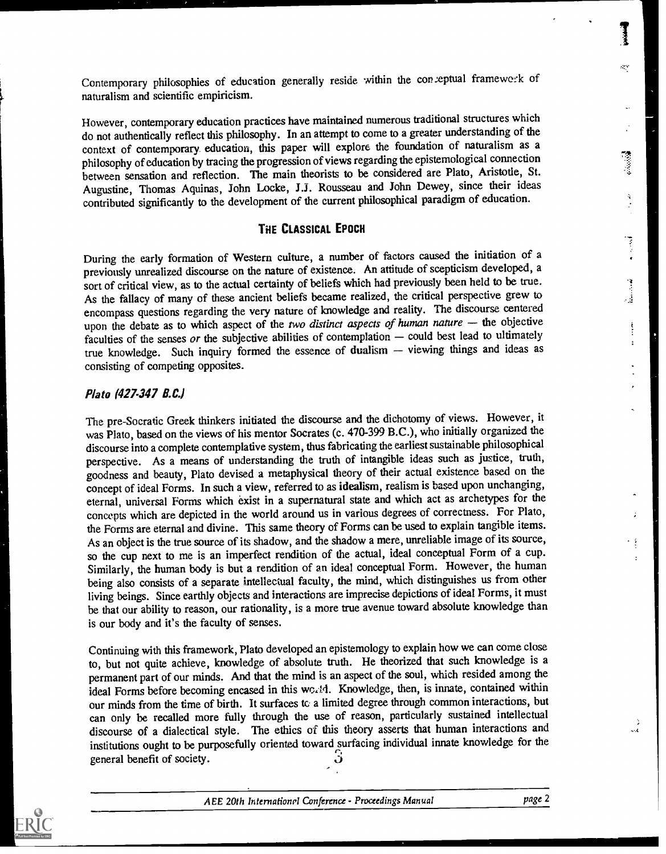Contemporary philosophies of education generally reside within the conceptual framework of naturalism and scientific empiricism.

However, contemporary education practices have maintained numeroustraditional structures which do not authentically reflect this philosophy. In an attempt to come to a greater understanding of the context of contemporary education, this paper will explore the foundation of naturalism as a philosophy of education by tracing the progression of views regarding the epistemological connection between sensation and reflection. The main theorists to be considered are Plato, Aristotle, St. Augustine, Thomas Aquinas, John Locke, J.J. Rousseau and John Dewey, since their ideas contributed significantly to the development of the current philosophical paradigm of education.

#### THE CLASSICAL EPOCH

During the early formation of Western culture, a number of factors caused the initiation of a previously unrealized discourse on the nature of existence. An attitude of scepticism developed, a sort of critical view, as to the actual certainty of beliefs which had previously been held to be true. As the fallacy of many of these ancient beliefs became realized, the critical perspective grew to encompass questions regarding the very nature of knowledge and reality. The discourse centered upon the debate as to which aspect of the two distinct aspects of human nature  $-$  the objective faculties of the senses or the subjective abilities of contemplation  $-$  could best lead to ultimately true knowledge. Such inquiry formed the essence of dualism - viewing things and ideas as consisting of competing opposites.

#### Plato (427-347 B.C.)

The pre-Socratic Greek thinkers initiated the discourse and the dichotomy of views. However, it was Plato, based on the views of his mentor Socrates (c. 470-399 B.C.), who initially organized the discourse into a complete contemplative system, thus fabricating the earliest sustainable philosophical perspective. As a means of understanding the truth of intangible ideas such as justice, truth, goodness and beauty, Plato devised a metaphysical theory of their actual existence based on the concept of ideal Forms. In such a view, referred to as idealism, realism is based upon unchanging, eternal, universal Forms which exist in a supernatural state and which act as archetypes for the concepts which are depicted in the world around us in various degrees of correctness. For Plato, the Forms are eternal and divine. This same theory of Forms can be used to explain tangible items. As an object is the true source of its shadow, and the shadow a mere, unreliable image of its source, so the cup next to me is an imperfect rendition of the actual, ideal conceptual Form of a cup. Similarly, the human body is but a rendition of an ideal conceptual Form. However, the human being also consists of a separate intellectual faculty, the mind, which distinguishes us from other living beings. Since earthly objects and interactions are imprecise depictions of ideal Forms, it must be that our ability to reason, our rationality, is a more true avenue toward absolute knowledge than is our body and it's the faculty of senses.

Continuing with this framework, Plato developed an epistemology to explain how we can comeclose to, but not quite achieve, knowledge of absolute truth. He theorized that such knowledge is a permanent part of our minds. And that the mind is an aspect of the soul, which resided among the ideal Forms before becoming encased in this wo. 14. Knowledge, then, is innate, contained within our minds from the time of birth. It surfaces to a limited degree through common interactions, but can only be recalled more fully through the use of reason, particularly sustained intellectual discourse of a dialectical style. The ethics of this theory asserts that human interactions and institutions ought to be purposefully oriented toward surfacing individual innate knowledge for the general benefit of society. ٺ

.

кý,

 $\frac{3}{2}$ 

ŧ  $\ddot{\cdot}$ 

÷.  $\ddotsc$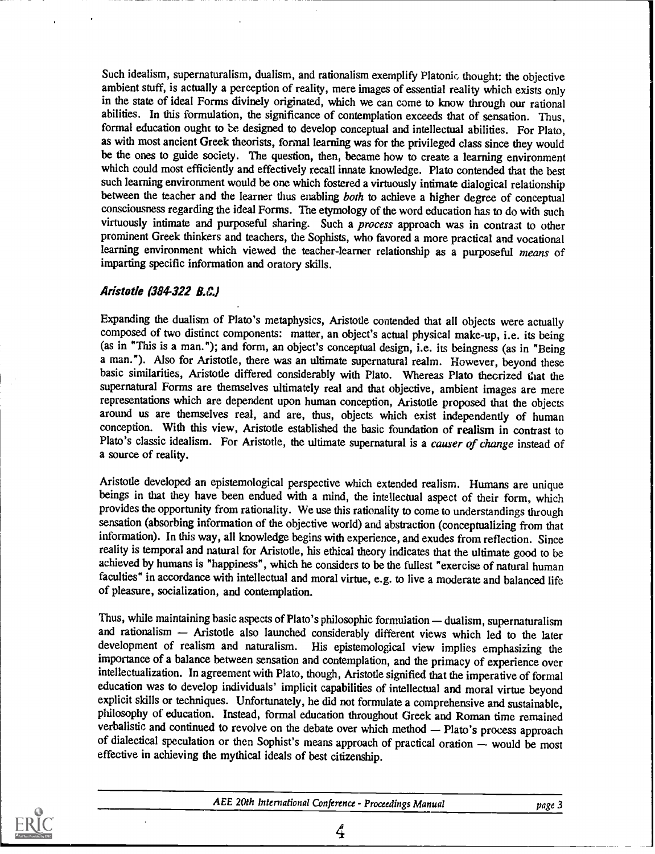Such idealism, supernaturalism, dualism, and rationalism exemplify Platonic thought: the objective ambient stuff, is actually a perception of reality, mere images of essential reality which exists only in the state of ideal Forms divinely originated, which we can come to know through our rational abilities. In this formulation, the significance of contemplation exceeds that of sensation. Thus, formal education ought to be designed to develop conceptual and intellectual abilities. For Plato, as with most ancient Greek theorists, formal learning was for the privileged class since they would be the ones to guide society. The question, then, became how to create a learning environment which could most efficiently and effectively recall innate knowledge. Plato contended that the best such learning environment would be one which fostered a virtuously intimate dialogical relationship between the teacher and the learner thus enabling both to achieve a higher degree of conceptual consciousness regarding the ideal Forms. The etymology of the word education has to do with such virtuously intimate and purposeful sharing. Such a process approach was in contrast to other prominent Greek thinkers and teachers, the Sophists, who favored a more practical and vocational learning environment which viewed the teacher-learner relationship as a purposeful means of imparting specific information and oratory skills.

## Aristotle (384-322 B.C.)

Expanding the dualism of Plato's metaphysics, Aristotle contended that all objects were actually composed of two distinct components: matter, an object's actual physical make-up, i.e. its being (as in "This is a man."); and form, an object's conceptual design, i.e. its beingness (as in "Being a man."). Also for Aristotle, there was an ultimate supernatural realm. However, beyond these basic similarities, Aristotle differed considerably with Plato. Whereas Plato theorized that the supernatural Forms are themselves ultimately real and that objective, ambient images are mere representations which are dependent upon human conception, Aristotle proposed that the objects around us are themselves real, and are, thus, objects which exist independently of human conception. With this view, Aristotle established the basic foundation of realism in contrast to Plato's classic idealism. For Aristotle, the ultimate supernatural is a causer of change instead of a source of reality.

Aristotle developed an epistemological perspective which extended realism. Humans are unique beings in that they have been endued with a mind, the intellectual aspect of their form, which provides the opportunity from rationality. We use this rationality to come to understandings through sensation (absorbing information of the objective world) and abstraction (conceptualizing from that information). In this way, all knowledge begins with experience, and exudes from reflection. Since reality is temporal and natural for Aristotle, his ethical theory indicates that the ultimate good to be achieved by humans is "happiness", which he considers to be the fullest "exercise of natural human faculties" in accordance with intellectual and moral virtue, e.g. to live a moderate and balanced life of pleasure, socialization, and contemplation.

Thus, while maintaining basic aspects of Plato's philosophic formulation  $-$  dualism, supernaturalism and rationalism - Aristotle also launched considerably different views which led to the later development of realism and naturalism. His epistemological view implies emphasizing the importance of a balance between sensation and contemplation, and the primacy of experience over intellectualization. In agreement with Plato, though, Aristotle signified that the imperative of formal education was to develop individuals' implicit capabilities of intellectual and moral virtue beyond explicit skills or techniques. Unfortunately, he did not formulate a comprehensive and sustainable. philosophy of education. Instead, formal education throughout Greek and Roman time remained verbalistic and continued to revolve on the debate over which method - Plato's process approach of dialectical speculation or then Sophist's means approach of practical oration - would be most effective in achieving the mythical ideals of best citizenship.



AEE 20th International Conference - Proceedings Manual page 3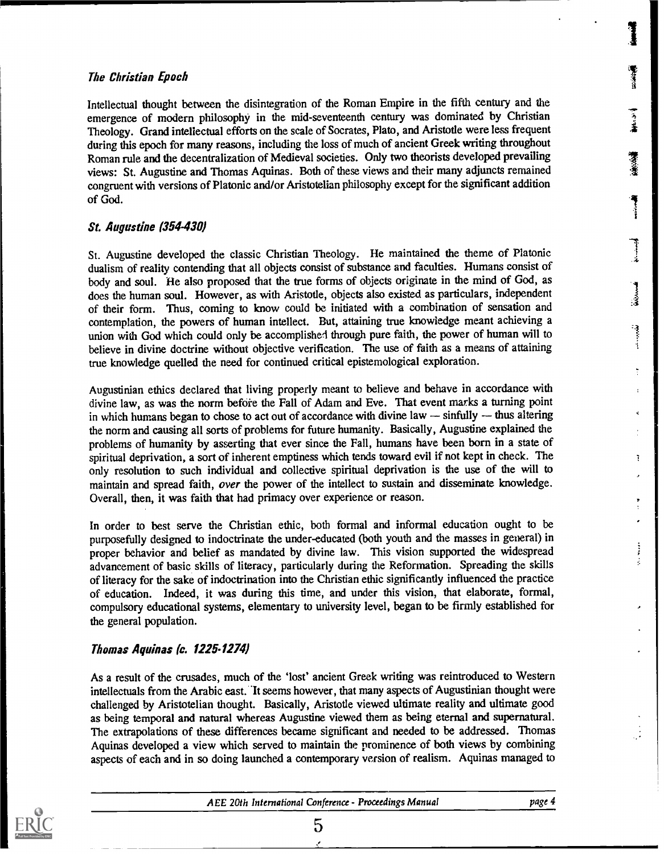# The Christian Epoch

Intellectual thought between the disintegration of the Roman Empire in the fifth century and the emergence of modern philosophy in the mid-seventeenth century was dominated by Christian Theology. Grand intellectual efforts on the scale of Socrates, Plato, and Aristotle were less frequent during this epoch for many reasons, including the loss of much of ancient Greek writing throughout Roman rule and the decentralization of Medieval societies. Only two theorists developed prevailing views: St. Augustine and Thomas Aquinas. Both of these views and their many adjuncts remained congruent with versions of Platonic and/or Aristotelian philosophy except for the significant addition of God.

## St. Augustine (354430)

St. Augustine developed the classic Christian Theology. He maintained the theme of Platonic dualism of reality contending that all objects consist of substance and faculties. Humans consist of body and soul. He also proposed that the true forms of objects originate in the mind of God, as does the human soul. However, as with Aristotle, objects also existed as particulars, independent of their form. Thus, coming to know could be initiated with a combination of sensation and contemplation, the powers of human intellect. But, attaining true knowledge meant achieving a union with God which could only be accomplished through pure faith, the power of human will to believe in divine doctrine without objective verification. The use of faith as a means of attaining true knowledge quelled the need for continued critical epistemological exploration.

Augustinian ethics declared that living properly meant to believe and behave in accordance with divine law, as was the norm before the Fall of Adam and Eve. That event marks a turning point in which humans began to chose to act out of accordance with divine law  $-$  sinfully  $-$  thus altering the norm and causing all sorts of problems for future humanity. Basically, Augustine explained the problems of humanity by asserting that ever since the Fall, humans have been born in a state of spiritual deprivation, a sort of inherent emptiness which tends toward evil if not kept in check. The only resolution to such individual and collective spiritual deprivation is the use of the will to maintain and spread faith, over the power of the intellect to sustain and disseminate knowledge. Overall, then, it was faith that had primacy over experience or reason.

In order to best serve the Christian ethic, both formal and informal education ought to be purposefully designed to indoctrinate the under-educated (both youth and the masses in general) in proper behavior and belief as mandated by divine law. This vision supported the widespread advancement of basic skills of literacy, particularly during the Reformation. Spreading the skills of literacy for the sake of indoctrination into the Christian ethic significantly influenced the practice of education. Indeed, it was during this time, and under this vision, that elaborate, formal, compulsory educational systems, elementary to university level, began to be firmly established for the general population.

## Thomas Aquinas (c. 1225-1274)

As a result of the crusades, much of the 'lost' ancient Greek writing was reintroduced to Western intellectuals from the Arabic east. It seems however, that many aspects of Augustinian thought were challenged by Aristotelian thought. Basically, Aristotle viewed ultimate reality and ultimate good as being temporal and natural whereas Augustine viewed them as being eternal and supernatural. The extrapolations of these differences became significant and needed to be addressed. Thomas Aquinas developed a view which served to maintain the prominence of both views by combining aspects of each and in so doing launched a contemporary version of realism. Aquinas managed to



**Inches** 

1<br>|<br>|<br>|

industrial

់

 $\bar{t}$ 

一个小姐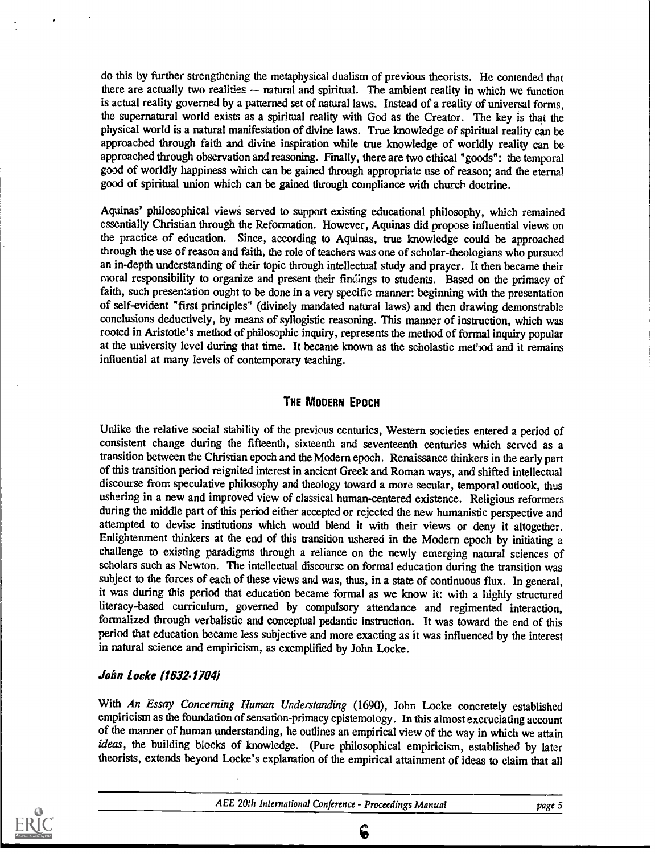do this by further strengthening the metaphysical dualism of previous theorists. He contended that there are actually two realities  $-$  natural and spiritual. The ambient reality in which we function is actual reality governed by a patterned set of natural laws. Instead of a reality of universal forms, the supernatural world exists as a spiritual reality with God as the Creator. The key is that the physical world is a natural manifestation of divine laws. True knowledge of spiritual reality can be approached through faith and divine inspiration while true knowledge of worldly reality can be approached through observation and reasoning. Finally, there are two ethical "goods": the temporal good of worldly happiness which can be gained through appropriate use of reason; and the eternal good of spiritual union which can be gained through compliance with church doctrine.

Aquinas' philosophical views served to support existing educational philosophy, which remained essentially Christian through the Reformation. However, Aquinas did propose influential views on the practice of education. Since, according to Aquinas, true knowledge could be approached through the use of reason and faith, the role of teachers was one of scholar-theologians who pursued an in-depth understanding of their topic through intellectual study and prayer. It then became their moral responsibility to organize and present their findings to students. Based on the primacy of faith, such presentation ought to be done in a very specific manner: beginning with the presentation of self-evident "first principles" (divinely mandated natural laws) and then drawing demonstrable conclusions deductively, by means of syllogistic reasoning. This manner of instruction, which was rooted in Aristotle's method of philosophic inquiry, represents the method of formal inquiry popular at the university level during that time. It became known as the scholastic method and it remains influential at many levels of contemporary teaching.

## THE MODERN EPOCH

Unlike the relative social stability of the previous centuries, Western societies entered a period of consistent change during the fifteenth, sixteenth and seventeenth centuries which served as a transition between the Christian epoch and the Modern epoch. Renaissance thinkers in the early part of this transition period reignited interest in ancient Greek and Roman ways, and shifted intellectual discourse from speculative philosophy and theology toward a more secular, temporal outlook, thus ushering in a new and improved view of classical human-centered existence. Religious reformers during the middle part of this period either accepted or rejected the new humanistic perspective and attempted to devise institutions which would blend it with their views or deny it altogether. Enlightenment thinkers at the end of this transition ushered in the Modern epoch by initiating a challenge to existing paradigms through a reliance on the newly emerging natural sciences of scholars such as Newton. The intellectual discourse on formal education during the transition was subject to the forces of each of these views and was, thus, in a state of continuous flux. In general, it was during this period that education became formal as we know it: with a highly structured literacy-based curriculum, governed by compulsory attendance and regimented interaction, formalized through verbalistic and conceptual pedantic instruction. It was toward the end of this period that education became less subjective and more exacting as it was influenced by the interest in natural science and empiricism, as exemplified by John Locke.

## John Locke (1632-1704)

With An Essay Concerning Human Understanding (1690), John Locke concretely established empiricism as the foundation of sensation-primacy epistemology. In this almost excruciating account of the manner of human understanding, he outlines an empirical view of the way in which we attain ideas, the building blocks of knowledge. (Pure philosophical empiricism, established by later theorists, extends beyond Locke's explanation of the empirical attainment of ideas to claim that all



AEE 20th International Conference - Proceedings Manual page 5

6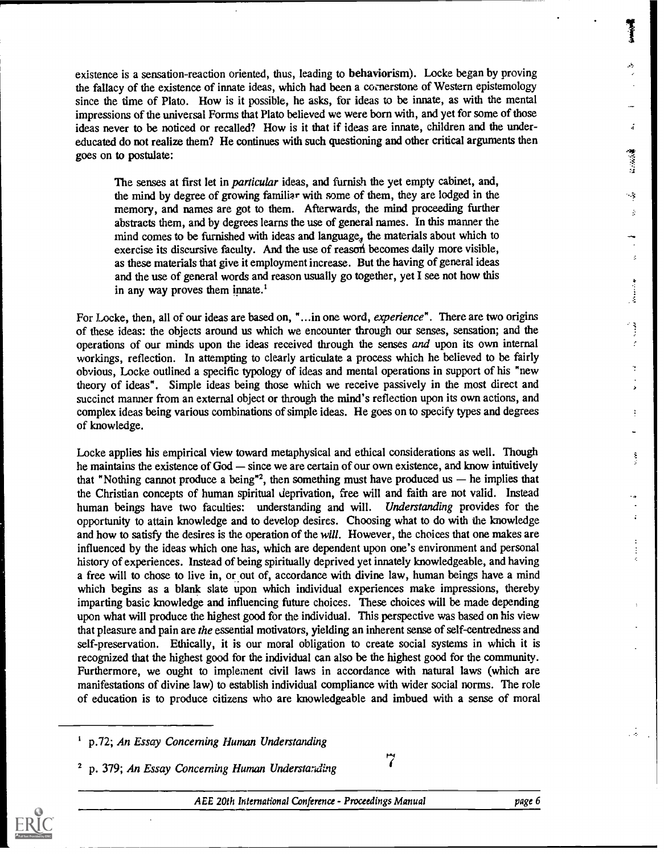existence is a sensation-reaction oriented, thus, leading to behaviorism). Locke began by proving the fallacy of the existence of innate ideas, which had been a cornerstone of Western epistemology since the time of Plato. How is it possible, he asks, for ideas to be innate, as with the mental impressions of the universal Forms that Plato believed we were born with, and yet for some of those ideas never to be noticed or recalled? How is it that if ideas are innate, children and the undereducated do not realize them? He continues with such questioning and other critical arguments then goes on to postulate:

The senses at first let in particular ideas, and furnish the yet empty cabinet, and, the mind by degree of growing familiar with some of them, they are lodged in the memory, and names are got to them. Afterwards, the mind proceeding further abstracts them, and by degrees learns the use of general names. In this manner the mind comes to be furnished with ideas and language, the materials about which to exercise its discursive faculty. And the use of reason becomes daily more visible, as these materials that give it employment increase. But the having of general ideas and the use of general words and reason usually go together, yet I see not how this in any way proves them innate.'

For Locke, then, all of our ideas are based on, "...in one word, experience". There are two origins of these ideas: the objects around us which we encounter through our senses, sensation; and the operations of our minds upon the ideas received through the senses and upon its own internal workings, reflection. In attempting to clearly articulate a process which he believed to be fairly obvious, Locke outlined a specific typology of ideas and mental operations in support of his "new theory of ideas". Simple ideas being those which we receive passively in the most direct and succinct manner from an external object or through the mind's reflection upon its own actions, and complex ideas being various combinations of simple ideas. He goes on to specify types and degrees of knowledge.

Locke applies his empirical view toward metaphysical and ethical considerations as well. Though he maintains the existence of God — since we are certain of our own existence, and know intuitively that "Nothing cannot produce a being"<sup>2</sup>, then something must have produced us  $-$  he implies that the Christian concepts of human spiritual deprivation, free will and faith are not valid. Instead human beings have two faculties: understanding and will. Understanding provides for the opportunity to attain knowledge and to develop desires. Choosing what to do with the knowledge and how to satisfy the desires is the operation of the will. However, the choices that one makes are influenced by the ideas which one has, which are dependent upon one's environment and personal history of experiences. Instead of being spiritually deprived yet innately knowledgeable, and having a free will to chose to live in, or out of, accordance with divine law, human beings have a mind which begins as a blank slate upon which individual experiences make impressions, thereby imparting basic knowledge and influencing future choices. These choices will be made depending upon what will produce the highest good for the individual. This perspective was based on his view that pleasure and pain are the essential motivators, yielding an inherent sense of self-centredness and self-preservation. Ethically, it is our moral obligation to create social systems in which it is recognized that the highest good for the individual can also be the highest good for the community. Furthermore, we ought to implement civil laws in accordance with natural laws (which are manifestations of divine law) to establish individual compliance with wider social norms. The role of education is to produce citizens who are knowledgeable and imbued with a sense of moral

Ĵ.

÷,  $\frac{1}{2}$ 

 $\hat{z}$ 

 $\begin{smallmatrix} 1 & 1 \\ 1 & 1 \end{smallmatrix}$  $\epsilon$ 

> ÷, J.

> > ŧ

Ş

 $\mathbf{r}$ 

÷

p.72; An Essay Concerning Human Understanding

<sup>2</sup> p. 379; An Essay Concerning Human Understanding 7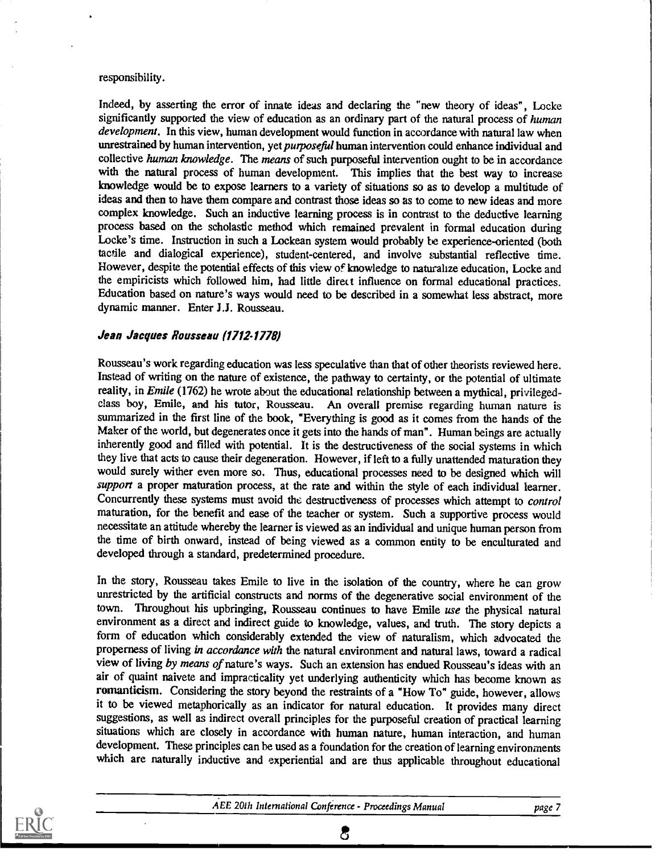#### responsibility.

Indeed, by asserting the error of innate ideas and declaring the "new theory of ideas", Locke significantly supported the view of education as an ordinary part of the natural process of human development. In this view, human development would function in accordance with natural law when unrestrained by human intervention, yet *purposeful* human intervention could enhance individual and collective human knowledge. The means of such purposeful intervention ought to be in accordance with the natural process of human development. This implies that the best way to increase knowledge would be to expose learners to a variety of situations so as to develop a multitude of ideas and then to have them compare and contrast those ideas so as to come to new ideas and more complex knowledge. Such an inductive learning process is in contrast to the deductive learning process based on the scholastic method which remained prevalent in formal education during Locke's time. Instruction in such a Lockean system would probably be experience-oriented (both tactile and dialogical experience), student-centered, and involve substantial reflective time. However, despite the potential effects of this view of knowledge to naturalize education, Locke and the empiricists which followed him, had little direct influence on formal educational practices. Education based on nature's ways would need to be described in a somewhat less abstract, more dynamic manner. Enter J.J. Rousseau.

## Jean Jacques Rousseau (1712-1778)

Rousseau's work regarding education was less speculative than that of other theorists reviewed here. Instead of writing on the nature of existence, the pathway to certainty, or the potential of ultimate reality, in *Emile* (1762) he wrote about the educational relationship between a mythical, privilegedclass boy, Emile, and his tutor, Rousseau. An overall premise regarding human nature is summarized in the first line of the book, "Everything is good as it comes from the hands of the Maker of the world, but degenerates once it gets into the hands of man". Human beings are actually inherently good and filled with potential. It is the destructiveness of the social systems in which they live that acts to cause their degeneration. However, if left to a fully unattended maturation they would surely wither even more so. Thus, educational processes need to be designed which will support a proper maturation process, at the rate and within the style of each individual learner. Concurrently these systems must avoid the destructiveness of processes which attempt to control maturation, for the benefit and ease of the teacher or system. Such a supportive process would necessitate an attitude whereby the learner is viewed as an individual and unique human person from the time of birth onward, instead of being viewed as a common entity to be enculturated and developed through a standard, predetermined procedure.

In the story, Rousseau takes Emile to live in the isolation of the country, where he can grow unrestricted by the artificial constructs and norms of the degenerative social environment of the town. Throughout his upbringing, Rousseau continues to have Emile use the physical natural environment as a direct and indirect guide to knowledge, values, and truth. The story depicts a form of education which considerably extended the view of naturalism, which advocated the properness of living in accordance with the natural environment and natural laws, toward a radical view of living by means of nature's ways. Such an extension has endued Rousseau's ideas with an air of quaint naivete and impracticality yet underlying authenticity which has become known as romanticism. Considering the story beyond the restraints of a "How To" guide, however, allows it to be viewed metaphorically as an indicator for natural education. It provides many direct suggestions, as well as indirect overall principles for the purposeful creation of practical learning situations which are closely in accordance with human nature, human interaction, and human development. These principles can be used as a foundation for the creation of learning environments which are naturally inductive and experiential and are thus applicable throughout educational



රි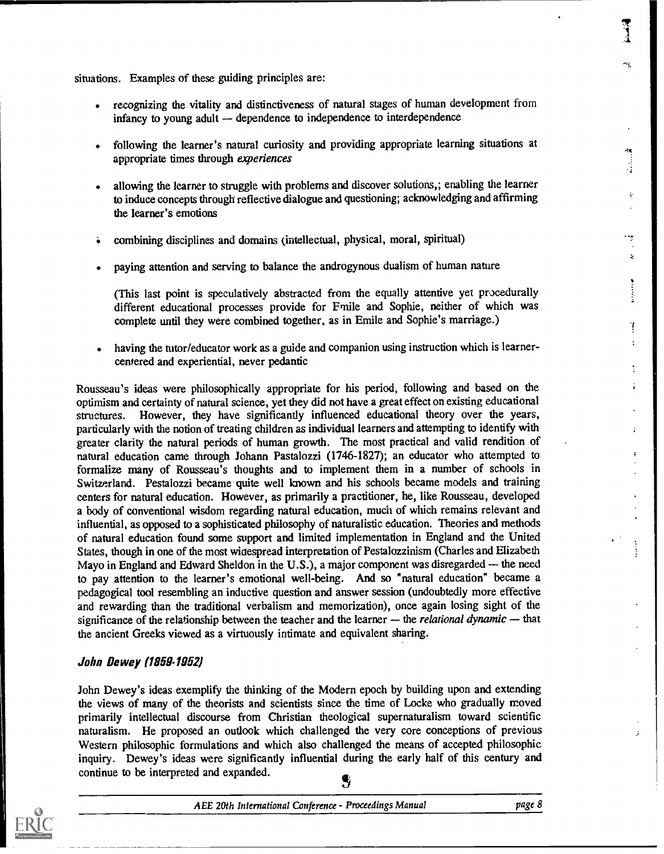situations. Examples of these guiding principles are:

- recognizing the vitality and distinctiveness of natural stages of human development from infancy to young adult  $-$  dependence to independence to interdependence
- following the learner's natural curiosity and providing appropriate learning situations at appropriate times through experiences
- allowing the learner to struggle with problems and discover solutions,; enabling the learner to induce concepts through reflective dialogue and questioning; acknowledging and affirming the learner's emotions
- combining disciplines and domains (intellectual, physical, moral, spiritual)
- paying attention and serving to balance the androgynous dualism of human nature

(This last point is speculatively abstracted from the equally attentive yet procedurally different educational processes provide for Emile and Sophie, neither of which was complete until they were combined together. as in Emile and Sophie's marriage.)

having the tutor/educator work as a guide and companion using instruction which is learnercentered and experiential, never pedantic

Rousseau's ideas were philosophically appropriate for his period, following and based on the optimism and certainty of natural science, yet they did not have a great effect on existing educational structures. However, they have significantly influenced educational theory over the years, particularly with the notion of treating children as individual learners and attempting to identify with greater clarity the natural periods of human growth. The most practical and valid rendition of natural education came through Johann Pastalozzi (1746-1827); an educator who attempted to formalize many of Rousseau's thoughts and to implement them in a number of schools in Switzerland. Pestalozzi became quite well known and his schools became models and training centers for natural education. However, as primarily a practitioner, he, like Rousseau, developed a body of conventional wisdom regarding natural education, much of which remains relevant and influential, as opposed to a sophisticated philosophy of naturalistic education. Theories and methods of natural education found some support and limited implementation in England and the United States, though in one of the most widespread interpretation of Pestalozzinism (Charles and Elizabeth Mayo in England and Edward Sheldon in the U.S.), a major component was disregarded  $-$  the need to pay attention to the learner's emotional well-being. And so "natural education" became a pedagogical tool resembling an inductive question and answer session (undoubtedly more effective and rewarding than the traditional verbalism and memorization), once again losing sight of the significance of the relationship between the teacher and the learner  $-$  the *relational dynamic*  $-$  that the ancient Greeks viewed as a virtuously intimate and equivalent sharing.

## John Dewey (1859-1952)

John Dewey's ideas exemplify the thinking of the Modern epoch by building upon and extending the views of many of the theorists and scientists since the time of Locke who gradually moved primarily intellectual discourse from Christian theological supernaturalism toward scientific naturalism. He proposed an outlook which challenged the very core conceptions of previous Western philosophic formulations and which also challenged the means of accepted philosophic inquiry. Dewey's ideas were significantly influential during the early half of this century and continue to be interpreted and expanded.



AEE 20th International Conference - Proceedings Manual page 8

ts

÷,  $\ddot{\mathbf{x}}$ 

 $\ddot{\cdot}$  $\ddot{\cdot}$ 

> $\ddot{\cdot}$ ř.

> > $\cdot$

ł

٠ų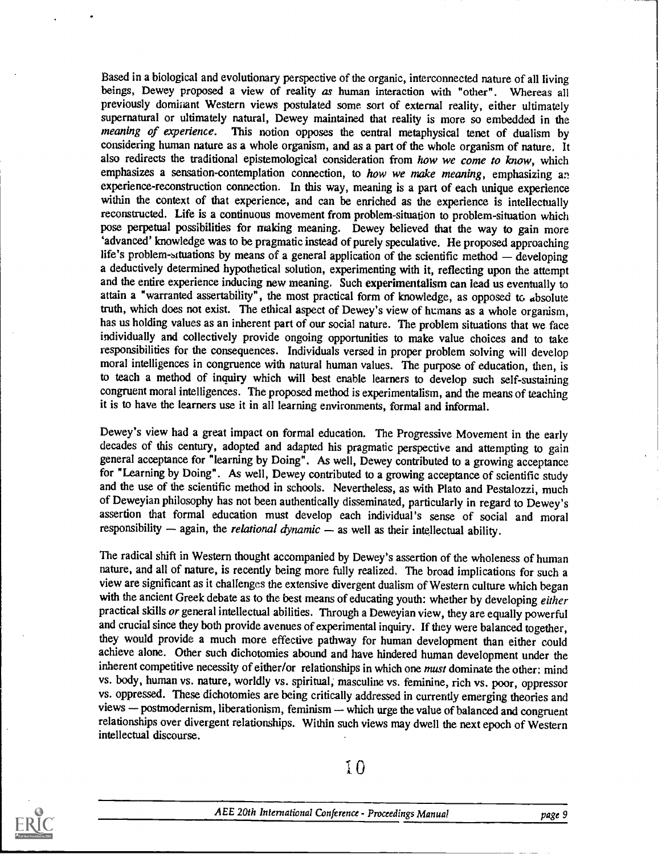Based in a biological and evolutionary perspective of the organic, interconnected nature of all living beings, Dewey proposed a view of reality as human interaction with "other". Whereas all previously dominant Western views postulated some sort of external reality, either ultimately supernatural or ultimately natural, Dewey maintained that reality is more so embedded in the meaning of experience. This notion opposes the central metaphysical tenet of dualism by This notion opposes the central metaphysical tenet of dualism by considering human nature as a whole organism, and as a part of the whole organism of nature. It also redirects the traditional epistemological consideration from how we come to know, which emphasizes a sensation-contemplation connection, to how we make meaning, emphasizing an experience-reconstruction connection. In this way, meaning is a part of each unique experience within the context of that experience, and can be enriched as the experience is intellectually reconstructed. Life is a continuous movement from problem-situation to problem-situation which pose perpetual possibilities for making meaning. Dewey believed that the way to gain more `advanced' knowledge was to be pragmatic instead of purely speculative. He proposed approaching life's problem-wtuations by means of a general application of the scientific method  $-$  developing a deductively determined hypothetical solution, experimenting with it, reflecting upon the attempt and the entire experience inducing new meaning. Such experimentalism can lead us eventually to attain a "warranted assertability", the most practical form of knowledge, as opposed to absolute truth, which does not exist. The ethical aspect of Dewey's view of humans as a whole organism, has us holding values as an inherent part of our social nature. The problem situations that we face individually and collectively provide ongoing opportunities to make value choices and to take responsibilities for the consequences. Individuals versed in proper problem solving will develop moral intelligences in congruence with natural human values. The purpose of education, then, is to teach a method of inquiry which will best enable learners to develop such self-sustaining congruent moral intelligences. The proposed method is experimentalism, and the means of teaching it is to have the learners use it in all learning environments, formal and informal.

Dewey's view had a great impact on formal education. The Progressive Movement in the early decades of this century, adopted and adapted his pragmatic perspective and attempting to gain general acceptance for "learning by Doing". As well, Dewey contributed to a growing acceptance for "Learning by Doing". As well, Dewey contributed to a growing acceptance of scientific study and the use of the scientific method in schools. Nevertheless, as with Plato and Pestalozzi, much of Deweyian philosophy has not been authentically disseminated, particularly in regard to Dewey's assertion that formal education must develop each individual's sense of social and moral responsibility  $-$  again, the *relational dynamic*  $-$  as well as their intellectual ability.

The radical shift in Western thought accompanied by Dewey's assertion of the wholeness of human nature, and all of nature, is recently being more fully realized. The broad implications for such a view are significant as it challenges the extensive divergent dualism of Western culture which began with the ancient Greek debate as to the best means of educating youth: whether by developing either practical skills or general intellectual abilities. Through a Deweyian view, they are equally powerful and crucial since they both provide avenues of experimental inquiry. If they were balanced together, they would provide a much more effective pathway for human development than either could achieve alone. Other such dichotomies abound and have hindered human development under the inherent competitive necessity of either/or relationships in which one must dominate the other: mind vs. body, human vs. nature, worldly vs. spiritual; masculine vs. feminine, rich vs. poor, oppressor vs. oppressed. These dichotomies are being critically addressed in currently emerging theories and views - postmodernism, liberationism, feminism - which urge the value of balanced and congruent relationships over divergent relationships. Within such views may dwell the next epoch of Western intellectual discourse.

10

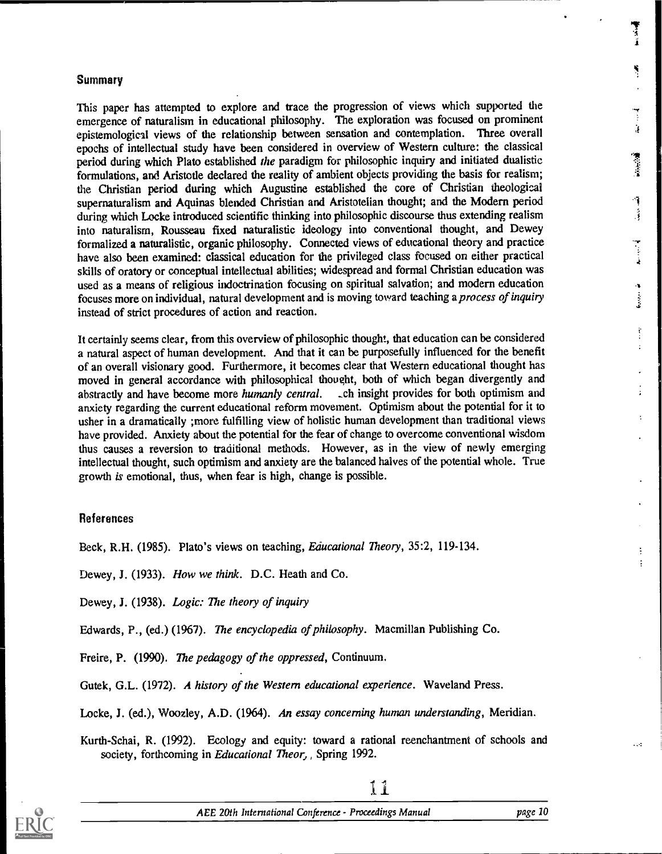#### **Summary**

This paper has attempted to explore and trace the progression of views which supported the emergence of naturalism in educational philosophy. The exploration was focused on prominent epistemological views of the relationship between sensation and contemplation. Three overall epochs of intellectual study have been considered in overview of Western culture: the classical period during which Plato established the paradigm for philosophic inquiry and initiated dualistic formulations, and Aristotle declared the reality of ambient objects providing the basis for realism; the Christian period during which Augustine established the core of Christian theological supernaturalism and Aquinas blended Christian and Aristotelian thought; and the Modern period during which Locke introduced scientific thinking into philosophic discourse thus extending realism into naturalism, Rousseau fixed naturalistic ideology into conventional thought, and Dewey formalized a naturalistic, organic philosophy. Connected views of educational theory and practice have also been examined: classical education for the privileged class focused on either practical skills of oratory or conceptual intellectual abilities; widespread and formal Christian education was used as a means of religious indoctrination focusing on spiritual salvation; and modern education focuses more on individual, natural development and is moving toward teaching a process of inquiry instead of strict procedures of action and reaction.

It certainly seems clear, from this overview of philosophic thought, that education can be considered a natural aspect of human development. And that it can be purposefully influenced for the benefit of an overall visionary good. Furthermore, it becomes clear that Western educational thought has moved in general accordance with philosophical thought, both of which began divergently and abstractly and have become more humanly central. Let insight provides for both optimism and abstractly and have become more humanly central. anxiety regarding the current educational reform movement. Optimism about the potential for it to usher in a dramatically ;more fulfilling view of holistic human development than traditional views have provided. Anxiety about the potential for the fear of change to overcome conventional wisdom thus causes a reversion to traditional methods. However, as in the view of newly emerging intellectual thought, such optimism and anxiety are the balanced halves of the potential whole. True growth is emotional, thus, when fear is high, change is possible.

#### References

Beck, R.H. (1985). Plato's views on teaching, Educational Theory, 35:2, 119-134.

Dewey, J. (1933). How we think. D.C. Heath and Co.

Dewey, J. (1938). Logic: The theory of inquiry

Edwards, P., (ed.) (1967). The encyclopedia of philosophy. Macmillan Publishing Co.

Freire, P. (1990). The pedagogy of the oppressed, Continuum.

Gutek, G.L. (1972). A history of the Western educational experience. Waveland Press.

Locke, J. (ed.), Woozley, A.D. (1964). An essay concerning human understanding, Meridian.

Kurth-Schai, R. (1992). Ecology and equity: toward a rational reenchantment of schools and society, forthcoming in Educational Theor, Spring 1992.



iY

Ť Ť

ł,

Ĵ,

建设设备

ą Ĵ,

Ì  $\ddot{\cdot}$ 

ŧ

 $\ddot{\cdot}$ 

 $\ddotsc$